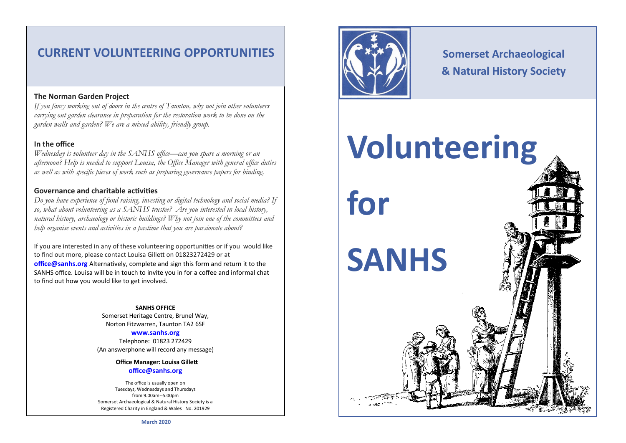# **CURRENT VOLUNTEERING OPPORTUNITIES**

## **The Norman Garden Project**

*If you fancy working out of doors in the centre of Taunton, why not join other volunteers carrying out garden clearance in preparation for the restoration work to be done on the garden walls and garden? We are a mixed ability, friendly group.* 

## **In the office**

*Wednesday is volunteer day in the SANHS office—can you spare a morning or an afternoon? Help is needed to support Louisa, the Office Manager with general office duties as well as with specific pieces of work such as preparing governance papers for binding.* 

### **Governance and charitable activities**

*Do you have experience of fund raising, investing or digital technology and social media? If so, what about volunteering as a SANHS trustee? Are you interested in local history, natural history, archaeology or historic buildings? Why not join one of the committees and help organise events and activities in a pastime that you are passionate about?* 

If you are interested in any of these volunteering opportunities or if you would like to find out more, please contact Louisa Gillett on 01823272429 or at **office@sanhs.org** Alternatively, complete and sign this form and return it to the SANHS office. Louisa will be in touch to invite you in for a coffee and informal chat to find out how you would like to get involved.

> **SANHS OFFICE** Somerset Heritage Centre, Brunel Way, Norton Fitzwarren, Taunton TA2 6SF

**[www.sanhs.org](http://www.sanhs.org)** Telephone: 01823 272429 (An answerphone will record any message)

> **Office Manager: Louisa Gillett [office@sanhs.org](mailto:office@sanhs.org)**

The office is usually open on Tuesdays, Wednesdays and Thursdays from 9.00am--5.00pm Somerset Archaeological & Natural History Society is a Registered Charity in England & Wales No. 201929



**for** 

# **Somerset Archaeological & Natural History Society**

# **Volunteering**

**SANHS**